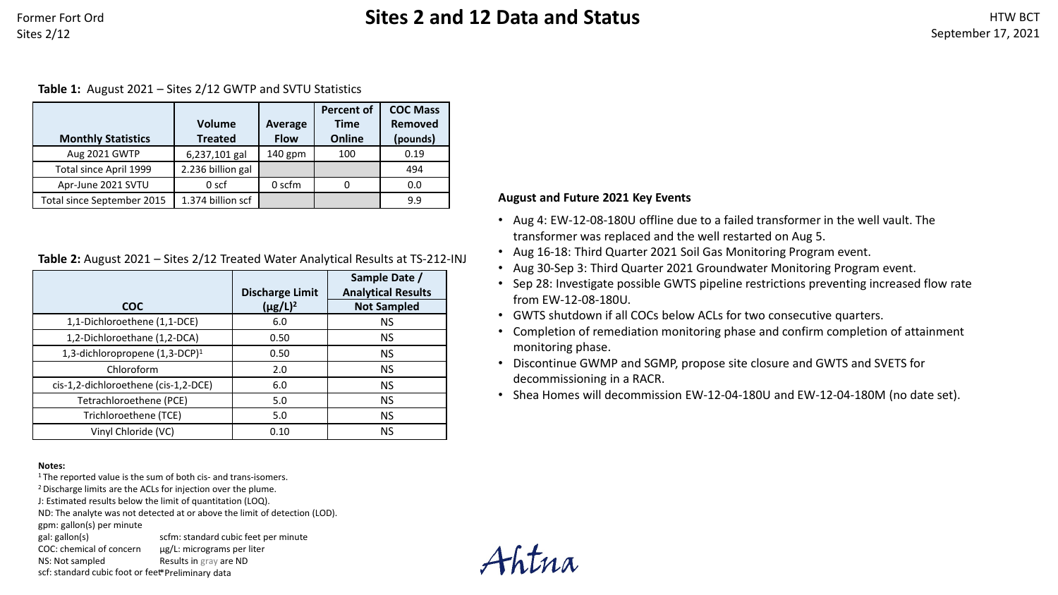### **Table 1:** August 2021 – Sites 2/12 GWTP and SVTU Statistics

|                            |                   |             | <b>Percent of</b> | <b>COC Mass</b> |
|----------------------------|-------------------|-------------|-------------------|-----------------|
|                            | <b>Volume</b>     | Average     | <b>Time</b>       | Removed         |
| <b>Monthly Statistics</b>  | <b>Treated</b>    | <b>Flow</b> | Online            | (pounds)        |
| Aug 2021 GWTP              | 6,237,101 gal     | $140$ gpm   | 100               | 0.19            |
| Total since April 1999     | 2.236 billion gal |             |                   | 494             |
| Apr-June 2021 SVTU         | 0 <sub>scf</sub>  | 0 scfm      | 0                 | 0.0             |
| Total since September 2015 | 1.374 billion scf |             |                   | 9.9             |

### **Table 2:** August 2021 – Sites 2/12 Treated Water Analytical Results at TS-212-INJ

|                                            | <b>Discharge Limit</b> | Sample Date /<br><b>Analytical Results</b> |
|--------------------------------------------|------------------------|--------------------------------------------|
| <b>COC</b>                                 | $(\mu g/L)^2$          | <b>Not Sampled</b>                         |
| 1,1-Dichloroethene (1,1-DCE)               | 6.0                    | <b>NS</b>                                  |
| 1,2-Dichloroethane (1,2-DCA)               | 0.50                   | <b>NS</b>                                  |
| 1,3-dichloropropene (1,3-DCP) <sup>1</sup> | 0.50                   | <b>NS</b>                                  |
| Chloroform                                 | 2.0                    | <b>NS</b>                                  |
| cis-1,2-dichloroethene (cis-1,2-DCE)       | 6.0                    | <b>NS</b>                                  |
| Tetrachloroethene (PCE)                    | 5.0                    | <b>NS</b>                                  |
| Trichloroethene (TCE)                      | 5.0                    | <b>NS</b>                                  |
| Vinyl Chloride (VC)                        | 0.10                   | <b>NS</b>                                  |

scfm: standard cubic feet per minute

#### **Notes:**

<sup>1</sup> The reported value is the sum of both cis- and trans-isomers.

<sup>2</sup> Discharge limits are the ACLs for injection over the plume.

J: Estimated results below the limit of quantitation (LOQ).

ND: The analyte was not detected at or above the limit of detection (LOD).

gpm: gallon(s) per minute

gal: gallon(s)

COC: chemical of concern µg/L: micrograms per liter Results in gray are ND

NS: Not sampled scf: standard cubic foot or feet \*Preliminary data

## **August and Future 2021 Key Events**

- Aug 4: EW-12-08-180U offline due to a failed transformer in the well vault. The transformer was replaced and the well restarted on Aug 5.
- Aug 16-18: Third Quarter 2021 Soil Gas Monitoring Program event.
- Aug 30-Sep 3: Third Quarter 2021 Groundwater Monitoring Program event.
- Sep 28: Investigate possible GWTS pipeline restrictions preventing increased flow rate from EW-12-08-180U.
- GWTS shutdown if all COCs below ACLs for two consecutive quarters.
- Completion of remediation monitoring phase and confirm completion of attainment monitoring phase.
- Discontinue GWMP and SGMP, propose site closure and GWTS and SVETS for decommissioning in a RACR.
- Shea Homes will decommission EW-12-04-180U and EW-12-04-180M (no date set).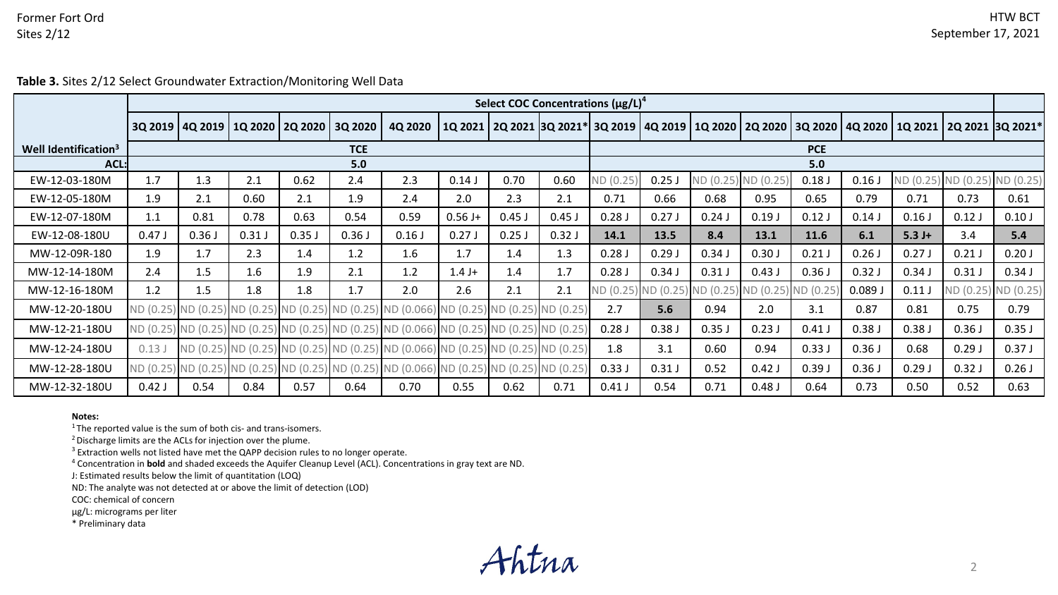**Table 3.** Sites 2/12 Select Groundwater Extraction/Monitoring Well Data

|                                  | Select COC Concentrations $(\mu g/L)^4$ |       |                                       |       |         |                                                                                  |           |                                                                                |            |           |                               |                    |           |          |          |                                       |       |                               |
|----------------------------------|-----------------------------------------|-------|---------------------------------------|-------|---------|----------------------------------------------------------------------------------|-----------|--------------------------------------------------------------------------------|------------|-----------|-------------------------------|--------------------|-----------|----------|----------|---------------------------------------|-------|-------------------------------|
|                                  |                                         |       | 3Q 2019   4Q 2019   1Q 2020   2Q 2020 |       | 3Q 2020 | 4Q 2020                                                                          |           | 1Q 2021   2Q 2021   3Q 2021*   3Q 2019   4Q 2019   1Q 2020   2Q 2020   3Q 2020 |            |           |                               |                    |           |          |          | 4Q 2020   1Q 2021   2Q 2021  3Q 2021* |       |                               |
| Well Identification <sup>3</sup> | <b>TCE</b>                              |       |                                       |       |         |                                                                                  |           |                                                                                | <b>PCE</b> |           |                               |                    |           |          |          |                                       |       |                               |
| $ACL$ :                          |                                         |       |                                       |       | 5.0     |                                                                                  |           |                                                                                |            | 5.0       |                               |                    |           |          |          |                                       |       |                               |
| EW-12-03-180M                    | 1.7                                     | 1.3   | 2.1                                   | 0.62  | 2.4     | 2.3                                                                              | 0.14J     | 0.70                                                                           | 0.60       | ND (0.25) | 0.25J                         | ND (0.25) ND (0.25 |           | 0.18J    | 0.16     |                                       |       | ND (0.25) ND (0.25) ND (0.25) |
| EW-12-05-180M                    | 1.9                                     | 2.1   | 0.60                                  | 2.1   | 1.9     | 2.4                                                                              | 2.0       | 2.3                                                                            | 2.1        | 0.71      | 0.66                          | 0.68               | 0.95      | 0.65     | 0.79     | 0.71                                  | 0.73  | 0.61                          |
| EW-12-07-180M                    | 1.1                                     | 0.81  | 0.78                                  | 0.63  | 0.54    | 0.59                                                                             | $0.56 J+$ | $0.45$ J                                                                       | $0.45$ J   | 0.28J     | 0.27J                         | 0.24J              | 0.19J     | 0.12J    | 0.14J    | 0.16J                                 | 0.12J | 0.10J                         |
| EW-12-08-180U                    | 0.47J                                   | 0.36J | 0.31J                                 | 0.35J | 0.36J   | 0.16J                                                                            | 0.27J     | $0.25$ J                                                                       | 0.32J      | 14.1      | 13.5                          | 8.4                | 13.1      | 11.6     | 6.1      | $5.3 J+$                              | 3.4   | 5.4                           |
| MW-12-09R-180                    | 1.9                                     | 1.7   | 2.3                                   | 1.4   | 1.2     | 1.6                                                                              | 1.7       | 1.4                                                                            | 1.3        | 0.28J     | 0.29J                         | 0.34J              | 0.30J     | 0.21J    | 0.26     | 0.27J                                 | 0.21J | 0.20J                         |
| MW-12-14-180M                    | 2.4                                     | 1.5   | 1.6                                   | 1.9   | 2.1     | 1.2                                                                              | $1.4 J+$  | 1.4                                                                            | 1.7        | 0.28J     | 0.34J                         | 0.31J              | 0.43J     | 0.36J    | $0.32$ J | 0.34J                                 | 0.31J | 0.34J                         |
| MW-12-16-180M                    | 1.2                                     | 1.5   | 1.8                                   | 1.8   | 1.7     | 2.0                                                                              | 2.6       | 2.1                                                                            | 2.1        |           | ND (0.25) ND (0.25) ND (0.25) |                    | ND (0.25) | ND (0.25 | 0.089.   | 0.11J                                 |       | ND (0.25) ND (0.25)           |
| MW-12-20-180U                    |                                         |       |                                       |       |         | ND (0.25) ND (0.25) ND (0.25) ND (0.25) ND (0.25) ND (0.056) ND (0.25) ND (0.25) |           |                                                                                | ND (0.25)  | 2.7       | 5.6                           | 0.94               | 2.0       | 3.1      | 0.87     | 0.81                                  | 0.75  | 0.79                          |
| MW-12-21-180U                    |                                         |       |                                       |       |         | ND (0.25) ND (0.25) ND (0.25) ND (0.25) ND (0.25) ND (0.066) ND (0.25) ND (0.25) |           |                                                                                | ND (0.25)  | 0.28J     | 0.38J                         | 0.35J              | 0.23J     | 0.41J    | 0.38J    | 0.38J                                 | 0.36J | 0.35J                         |
| MW-12-24-180U                    | 0.13J                                   |       |                                       |       |         | ND (0.25) ND (0.25) ND (0.25) ND (0.25) ND (0.066) ND (0.25) ND (0.25)           |           |                                                                                | ND (0.25)  | 1.8       | 3.1                           | 0.60               | 0.94      | 0.33J    | 0.36J    | 0.68                                  | 0.29J | 0.37J                         |
| MW-12-28-180U                    |                                         |       |                                       |       |         | ND (0.25) ND (0.25) ND (0.25) ND (0.25) ND (0.25) ND (0.066) ND (0.25) ND (0.25) |           |                                                                                | ND (0.25)  | 0.33J     | 0.31J                         | 0.52               | $0.42$ J  | 0.39J    | 0.36J    | 0.29J                                 | 0.32J | 0.26J                         |
| MW-12-32-180U                    | $0.42$ J                                | 0.54  | 0.84                                  | 0.57  | 0.64    | 0.70                                                                             | 0.55      | 0.62                                                                           | 0.71       | $0.41$ J  | 0.54                          | 0.71               | 0.48J     | 0.64     | 0.73     | 0.50                                  | 0.52  | 0.63                          |

#### **Notes:**

<sup>1</sup> The reported value is the sum of both cis- and trans-isomers.

2 Discharge limits are the ACLs for injection over the plume.

<sup>3</sup> Extraction wells not listed have met the QAPP decision rules to no longer operate.

<sup>4</sup> Concentration in **bold** and shaded exceeds the Aquifer Cleanup Level (ACL). Concentrations in gray text are ND.

J: Estimated results below the limit of quantitation (LOQ)

ND: The analyte was not detected at or above the limit of detection (LOD)

COC: chemical of concern

µg/L: micrograms per liter

\* Preliminary data

Ahtna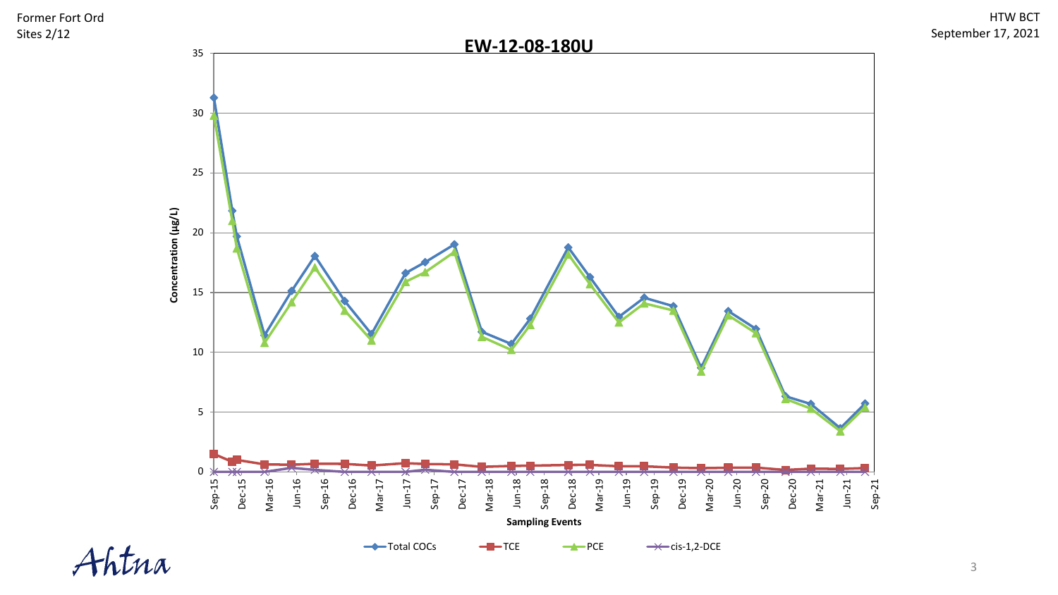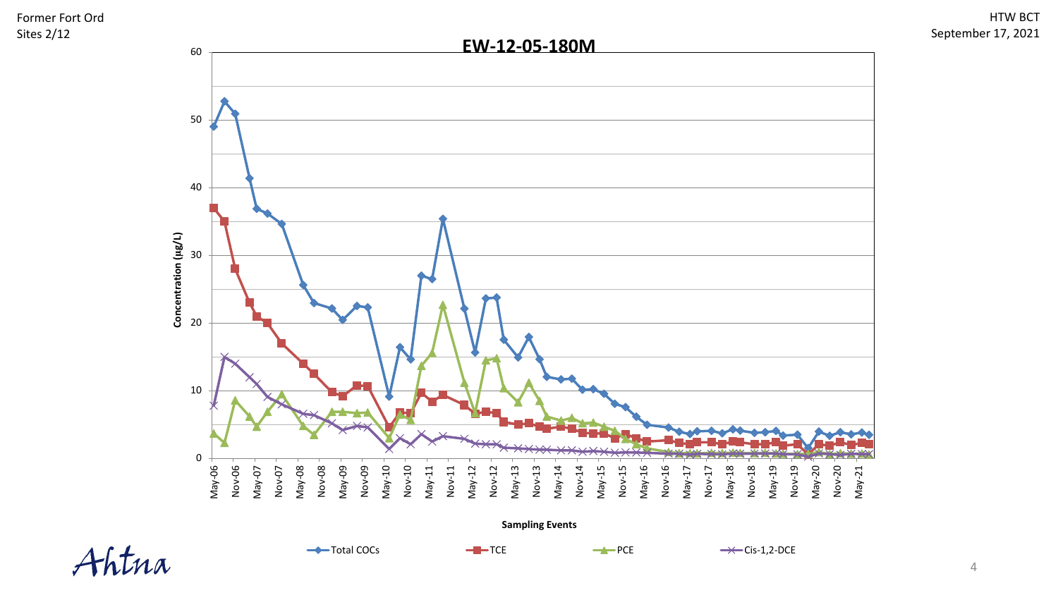

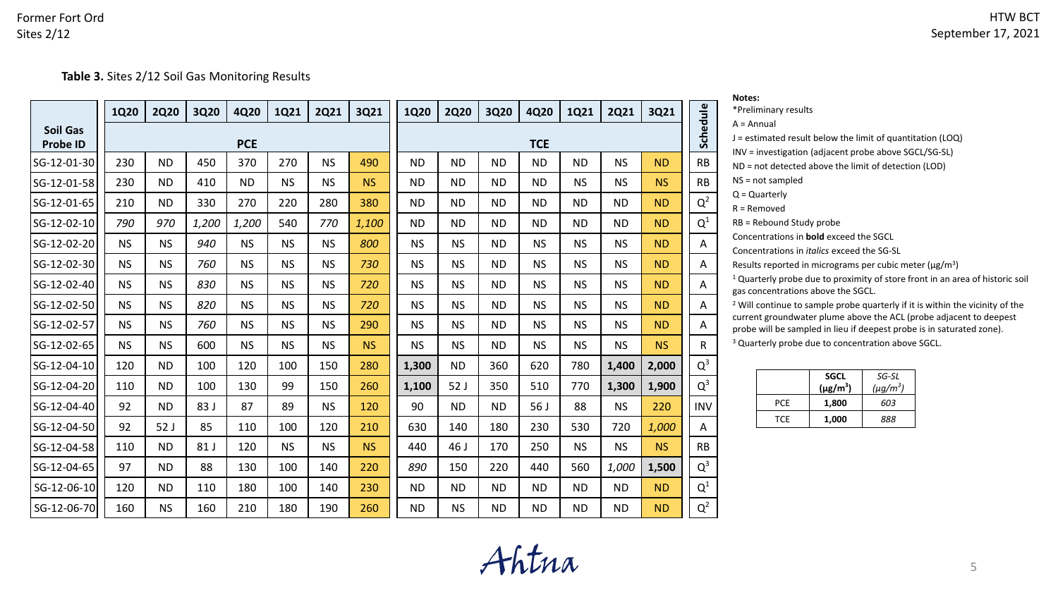





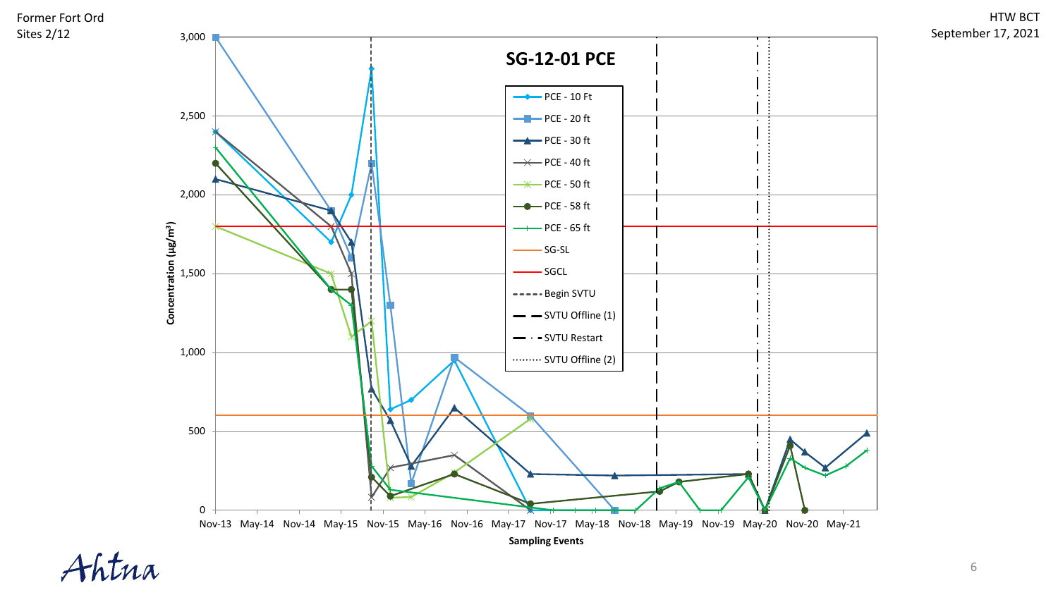**Table 3.** Sites 2/12 Soil Gas Monitoring Results

|                                    | <b>1Q20</b> | <b>2Q20</b>     | 3Q20  | 4Q20       | 1Q21      | <b>2Q21</b> | 3Q21      | 1Q20      | <b>2Q20</b> | 3Q20      | 4Q20       | 1Q21      | <b>2Q21</b> | 3Q21      |            |
|------------------------------------|-------------|-----------------|-------|------------|-----------|-------------|-----------|-----------|-------------|-----------|------------|-----------|-------------|-----------|------------|
| <b>Soil Gas</b><br><b>Probe ID</b> |             |                 |       | <b>PCE</b> |           |             |           |           |             |           | <b>TCE</b> |           |             |           | Schedule   |
| SG-12-01-30                        | 230         | <b>ND</b>       | 450   | 370        | 270       | <b>NS</b>   | 490       | <b>ND</b> | <b>ND</b>   | <b>ND</b> | <b>ND</b>  | <b>ND</b> | <b>NS</b>   | <b>ND</b> | <b>RB</b>  |
| SG-12-01-58                        | 230         | <b>ND</b>       | 410   | <b>ND</b>  | <b>NS</b> | <b>NS</b>   | <b>NS</b> | <b>ND</b> | <b>ND</b>   | <b>ND</b> | <b>ND</b>  | <b>NS</b> | <b>NS</b>   | <b>NS</b> | <b>RB</b>  |
| SG-12-01-65                        | 210         | <b>ND</b>       | 330   | 270        | 220       | 280         | 380       | <b>ND</b> | <b>ND</b>   | <b>ND</b> | <b>ND</b>  | <b>ND</b> | <b>ND</b>   | <b>ND</b> | $Q^2$      |
| SG-12-02-10                        | 790         | 970             | 1,200 | 1,200      | 540       | 770         | 1,100     | <b>ND</b> | <b>ND</b>   | <b>ND</b> | <b>ND</b>  | <b>ND</b> | <b>ND</b>   | <b>ND</b> | $Q^1$      |
| SG-12-02-20                        | <b>NS</b>   | <b>NS</b>       | 940   | <b>NS</b>  | <b>NS</b> | <b>NS</b>   | 800       | <b>NS</b> | <b>NS</b>   | <b>ND</b> | <b>NS</b>  | <b>NS</b> | <b>NS</b>   | <b>ND</b> | A          |
| SG-12-02-30                        | <b>NS</b>   | <b>NS</b>       | 760   | <b>NS</b>  | <b>NS</b> | <b>NS</b>   | 730       | <b>NS</b> | <b>NS</b>   | <b>ND</b> | <b>NS</b>  | <b>NS</b> | <b>NS</b>   | <b>ND</b> | A          |
| SG-12-02-40                        | <b>NS</b>   | <b>NS</b>       | 830   | <b>NS</b>  | <b>NS</b> | <b>NS</b>   | 720       | <b>NS</b> | <b>NS</b>   | <b>ND</b> | <b>NS</b>  | <b>NS</b> | <b>NS</b>   | <b>ND</b> | A          |
| SG-12-02-50                        | <b>NS</b>   | <b>NS</b>       | 820   | <b>NS</b>  | <b>NS</b> | <b>NS</b>   | 720       | <b>NS</b> | <b>NS</b>   | <b>ND</b> | <b>NS</b>  | <b>NS</b> | <b>NS</b>   | <b>ND</b> | A          |
| SG-12-02-57                        | <b>NS</b>   | <b>NS</b>       | 760   | <b>NS</b>  | <b>NS</b> | <b>NS</b>   | 290       | <b>NS</b> | <b>NS</b>   | <b>ND</b> | <b>NS</b>  | <b>NS</b> | <b>NS</b>   | <b>ND</b> | A          |
| SG-12-02-65                        | <b>NS</b>   | <b>NS</b>       | 600   | <b>NS</b>  | <b>NS</b> | <b>NS</b>   | <b>NS</b> | <b>NS</b> | <b>NS</b>   | <b>ND</b> | <b>NS</b>  | NS.       | <b>NS</b>   | <b>NS</b> | R          |
| SG-12-04-10                        | 120         | <b>ND</b>       | 100   | 120        | 100       | 150         | 280       | 1,300     | <b>ND</b>   | 360       | 620        | 780       | 1,400       | 2,000     | $Q^3$      |
| SG-12-04-20                        | 110         | <b>ND</b>       | 100   | 130        | 99        | 150         | 260       | 1,100     | 52J         | 350       | 510        | 770       | 1,300       | 1,900     | $Q^3$      |
| SG-12-04-40                        | 92          | <b>ND</b>       | 83 J  | 87         | 89        | <b>NS</b>   | 120       | 90        | <b>ND</b>   | <b>ND</b> | 56 J       | 88        | <b>NS</b>   | 220       | <b>INV</b> |
| SG-12-04-50                        | 92          | 52 <sub>J</sub> | 85    | 110        | 100       | 120         | 210       | 630       | 140         | 180       | 230        | 530       | 720         | 1,000     | Α          |
| SG-12-04-58                        | 110         | <b>ND</b>       | 81 J  | 120        | <b>NS</b> | <b>NS</b>   | <b>NS</b> | 440       | 46 J        | 170       | 250        | <b>NS</b> | <b>NS</b>   | <b>NS</b> | <b>RB</b>  |
| SG-12-04-65                        | 97          | <b>ND</b>       | 88    | 130        | 100       | 140         | 220       | 890       | 150         | 220       | 440        | 560       | 1,000       | 1,500     | $Q^3$      |
| SG-12-06-10                        | 120         | <b>ND</b>       | 110   | 180        | 100       | 140         | 230       | <b>ND</b> | <b>ND</b>   | <b>ND</b> | <b>ND</b>  | <b>ND</b> | <b>ND</b>   | <b>ND</b> | $Q^1$      |
| SG-12-06-70                        | 160         | <b>NS</b>       | 160   | 210        | 180       | 190         | 260       | <b>ND</b> | <b>NS</b>   | <b>ND</b> | <b>ND</b>  | <b>ND</b> | <b>ND</b>   | <b>ND</b> | $Q^2$      |

| Notes:               |
|----------------------|
| *Preliminary results |
| $A =$ Annual         |

J = estimated result below the limit of quantitation (LOQ)

INV = investigation (adjacent probe above SGCL/SG-SL)

ND = not detected above the limit of detection (LOD)

NS = not sampled

Q = Quarterly

R = Removed

RB = Rebound Study probe

Concentrations in **bold** exceed the SGCL

Concentrations in *italics* exceed the SG-SL

Results reported in micrograms per cubic meter ( $\mu$ g/m<sup>3</sup>)

<sup>1</sup> Quarterly probe due to proximity of store front in an area of historic soil gas concentrations above the SGCL.

<sup>2</sup> Will continue to sample probe quarterly if it is within the vicinity of the current groundwater plume above the ACL (probe adjacent to deepest probe will be sampled in lieu if deepest probe is in saturated zone).

<sup>3</sup> Quarterly probe due to concentration above SGCL.

|      | <b>SGCL</b><br>$(\mu g/m^3)$ | SG-SL<br>$(\mu g/m^3)$ |
|------|------------------------------|------------------------|
| PCF  | 1.800                        | 603                    |
| TCF. | 1,000                        | 888                    |

**Ahtna**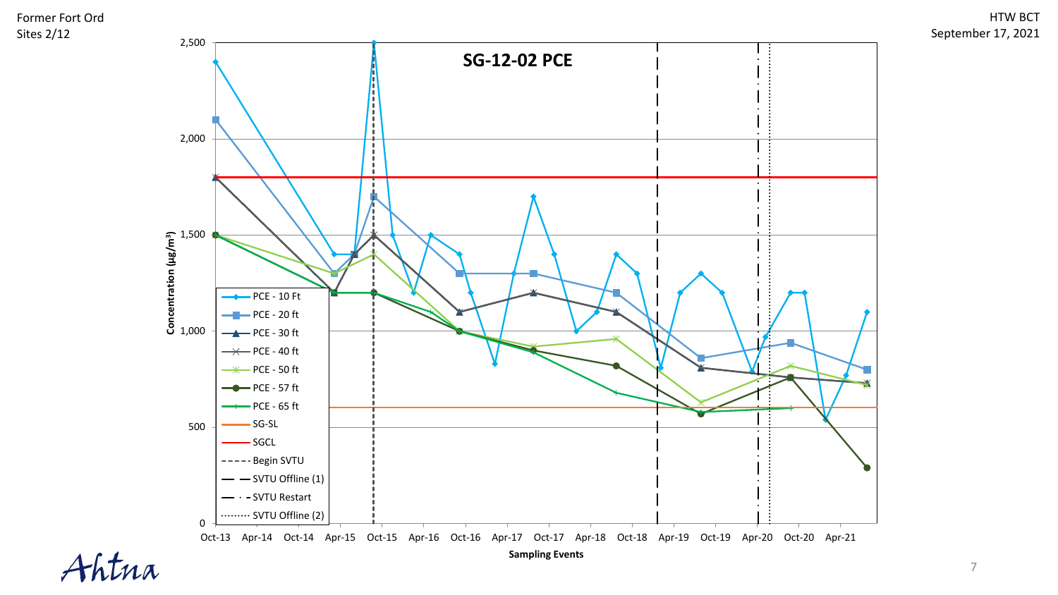

# **EXPLANATION**

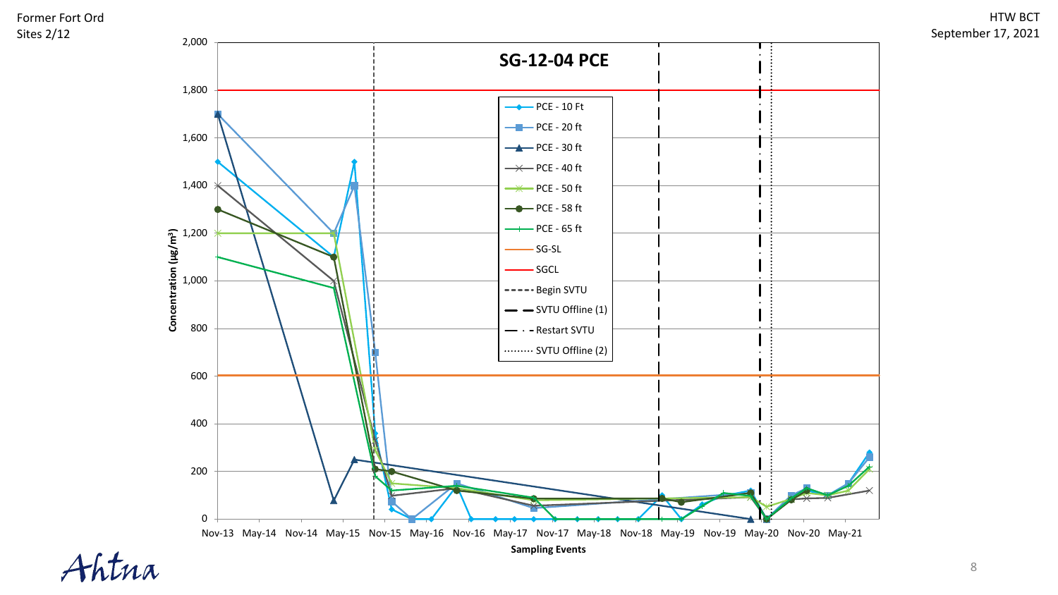

htna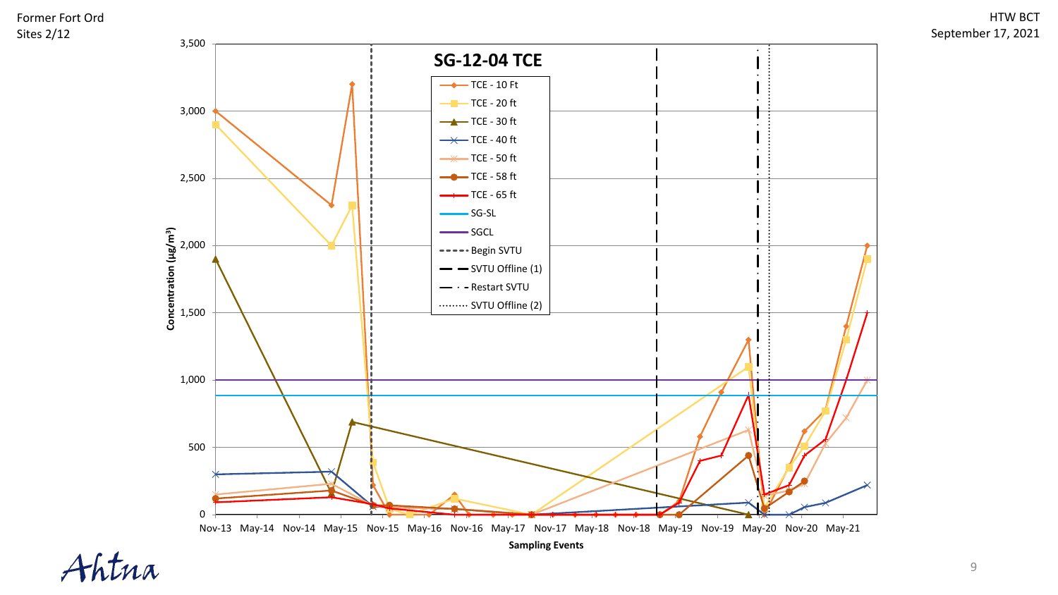

htna

9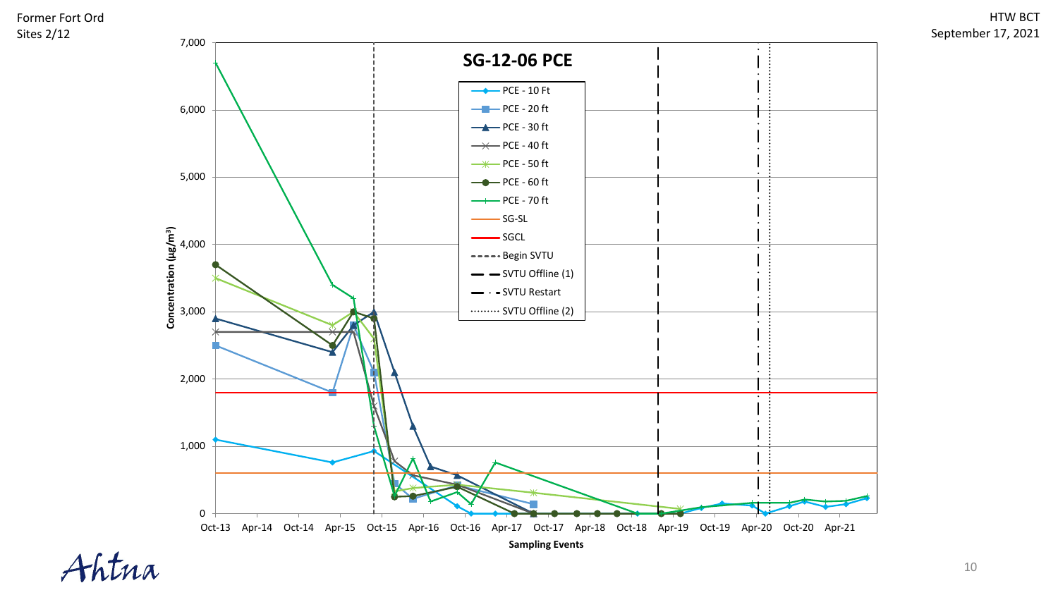